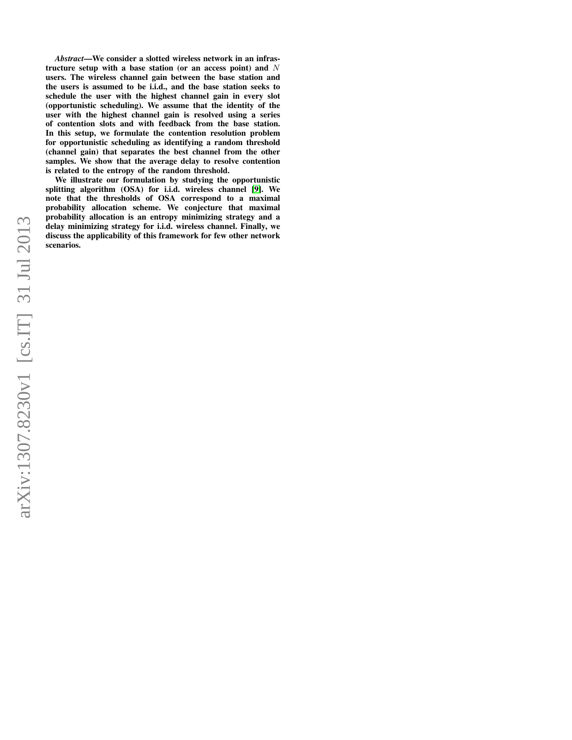*Abstract*—We consider a slotted wireless network in an infrastructure setup with a base station (or an access point) and  $N$ users. The wireless channel gain between the base station and the users is assumed to be i.i.d., and the base station seeks to schedule the user with the highest channel gain in every slot (opportunistic scheduling). We assume that the identity of the user with the highest channel gain is resolved using a series of contention slots and with feedback from the base station. In this setup, we formulate the contention resolution problem for opportunistic scheduling as identifying a random threshold (channel gain) that separates the best channel from the other samples. We show that the average delay to resolve contention is related to the entropy of the random threshold.

We illustrate our formulation by studying the opportunistic splitting algorithm (OSA) for i.i.d. wireless channel [\[9\]](#page-6-0). We note that the thresholds of OSA correspond to a maximal probability allocation scheme. We conjecture that maximal probability allocation is an entropy minimizing strategy and a delay minimizing strategy for i.i.d. wireless channel. Finally, we discuss the applicability of this framework for few other network scenarios.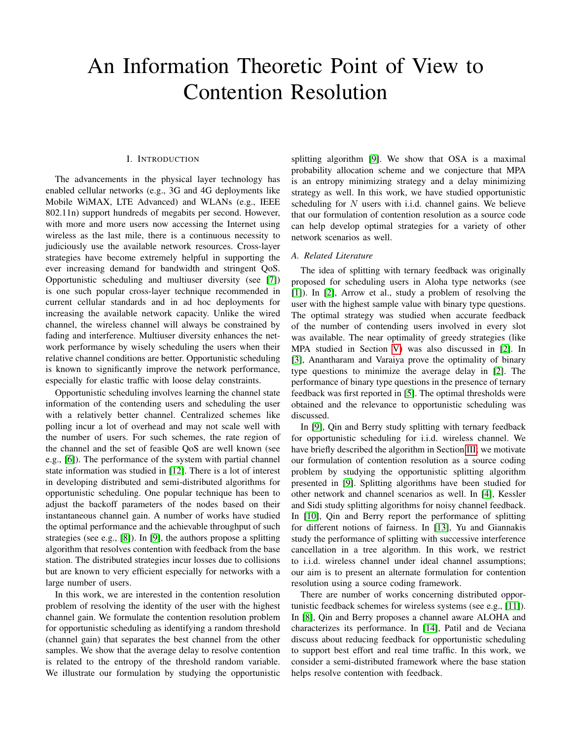# An Information Theoretic Point of View to Contention Resolution

## I. INTRODUCTION

The advancements in the physical layer technology has enabled cellular networks (e.g., 3G and 4G deployments like Mobile WiMAX, LTE Advanced) and WLANs (e.g., IEEE 802.11n) support hundreds of megabits per second. However, with more and more users now accessing the Internet using wireless as the last mile, there is a continuous necessity to judiciously use the available network resources. Cross-layer strategies have become extremely helpful in supporting the ever increasing demand for bandwidth and stringent QoS. Opportunistic scheduling and multiuser diversity (see [\[7\]](#page-6-1)) is one such popular cross-layer technique recommended in current cellular standards and in ad hoc deployments for increasing the available network capacity. Unlike the wired channel, the wireless channel will always be constrained by fading and interference. Multiuser diversity enhances the network performance by wisely scheduling the users when their relative channel conditions are better. Opportunistic scheduling is known to significantly improve the network performance, especially for elastic traffic with loose delay constraints.

Opportunistic scheduling involves learning the channel state information of the contending users and scheduling the user with a relatively better channel. Centralized schemes like polling incur a lot of overhead and may not scale well with the number of users. For such schemes, the rate region of the channel and the set of feasible QoS are well known (see e.g., [\[6\]](#page-6-2)). The performance of the system with partial channel state information was studied in [\[12\]](#page-6-3). There is a lot of interest in developing distributed and semi-distributed algorithms for opportunistic scheduling. One popular technique has been to adjust the backoff parameters of the nodes based on their instantaneous channel gain. A number of works have studied the optimal performance and the achievable throughput of such strategies (see e.g., [\[8\]](#page-6-4)). In [\[9\]](#page-6-0), the authors propose a splitting algorithm that resolves contention with feedback from the base station. The distributed strategies incur losses due to collisions but are known to very efficient especially for networks with a large number of users.

In this work, we are interested in the contention resolution problem of resolving the identity of the user with the highest channel gain. We formulate the contention resolution problem for opportunistic scheduling as identifying a random threshold (channel gain) that separates the best channel from the other samples. We show that the average delay to resolve contention is related to the entropy of the threshold random variable. We illustrate our formulation by studying the opportunistic

splitting algorithm [\[9\]](#page-6-0). We show that OSA is a maximal probability allocation scheme and we conjecture that MPA is an entropy minimizing strategy and a delay minimizing strategy as well. In this work, we have studied opportunistic scheduling for  $N$  users with i.i.d. channel gains. We believe that our formulation of contention resolution as a source code can help develop optimal strategies for a variety of other network scenarios as well.

## *A. Related Literature*

The idea of splitting with ternary feedback was originally proposed for scheduling users in Aloha type networks (see [\[1\]](#page-6-5)). In [\[2\]](#page-6-6), Arrow et al., study a problem of resolving the user with the highest sample value with binary type questions. The optimal strategy was studied when accurate feedback of the number of contending users involved in every slot was available. The near optimality of greedy strategies (like MPA studied in Section [V\)](#page-4-0) was also discussed in [\[2\]](#page-6-6). In [\[3\]](#page-6-7), Anantharam and Varaiya prove the optimality of binary type questions to minimize the average delay in [\[2\]](#page-6-6). The performance of binary type questions in the presence of ternary feedback was first reported in [\[5\]](#page-6-8). The optimal thresholds were obtained and the relevance to opportunistic scheduling was discussed.

In [\[9\]](#page-6-0), Qin and Berry study splitting with ternary feedback for opportunistic scheduling for i.i.d. wireless channel. We have briefly described the algorithm in Section [III;](#page-2-0) we motivate our formulation of contention resolution as a source coding problem by studying the opportunistic splitting algorithm presented in [\[9\]](#page-6-0). Splitting algorithms have been studied for other network and channel scenarios as well. In [\[4\]](#page-6-9), Kessler and Sidi study splitting algorithms for noisy channel feedback. In [\[10\]](#page-6-10), Qin and Berry report the performance of splitting for different notions of fairness. In [\[13\]](#page-6-11), Yu and Giannakis study the performance of splitting with successive interference cancellation in a tree algorithm. In this work, we restrict to i.i.d. wireless channel under ideal channel assumptions; our aim is to present an alternate formulation for contention resolution using a source coding framework.

There are number of works concerning distributed opportunistic feedback schemes for wireless systems (see e.g., [\[11\]](#page-6-12)). In [\[8\]](#page-6-4), Qin and Berry proposes a channel aware ALOHA and characterizes its performance. In [\[14\]](#page-6-13), Patil and de Veciana discuss about reducing feedback for opportunistic scheduling to support best effort and real time traffic. In this work, we consider a semi-distributed framework where the base station helps resolve contention with feedback.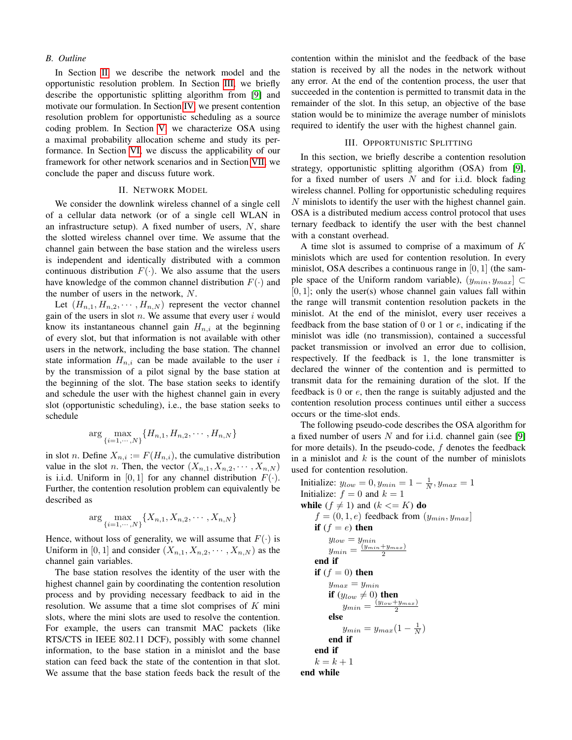#### *B. Outline*

In Section [II,](#page-2-1) we describe the network model and the opportunistic resolution problem. In Section [III,](#page-2-0) we briefly describe the opportunistic splitting algorithm from [\[9\]](#page-6-0) and motivate our formulation. In Section [IV,](#page-3-0) we present contention resolution problem for opportunistic scheduling as a source coding problem. In Section [V,](#page-4-0) we characterize OSA using a maximal probability allocation scheme and study its performance. In Section [VI,](#page-5-0) we discuss the applicability of our framework for other network scenarios and in Section [VII,](#page-6-14) we conclude the paper and discuss future work.

## II. NETWORK MODEL

<span id="page-2-1"></span>We consider the downlink wireless channel of a single cell of a cellular data network (or of a single cell WLAN in an infrastructure setup). A fixed number of users,  $N$ , share the slotted wireless channel over time. We assume that the channel gain between the base station and the wireless users is independent and identically distributed with a common continuous distribution  $F(\cdot)$ . We also assume that the users have knowledge of the common channel distribution  $F(\cdot)$  and the number of users in the network, N.

Let  $(H_{n,1}, H_{n,2}, \cdots, H_{n,N})$  represent the vector channel gain of the users in slot  $n$ . We assume that every user  $i$  would know its instantaneous channel gain  $H_{n,i}$  at the beginning of every slot, but that information is not available with other users in the network, including the base station. The channel state information  $H_{n,i}$  can be made available to the user i by the transmission of a pilot signal by the base station at the beginning of the slot. The base station seeks to identify and schedule the user with the highest channel gain in every slot (opportunistic scheduling), i.e., the base station seeks to schedule

$$
\arg \max_{\{i=1,\cdots,N\}} \{H_{n,1}, H_{n,2}, \cdots, H_{n,N}\}\
$$

in slot *n*. Define  $X_{n,i} := F(H_{n,i})$ , the cumulative distribution value in the slot *n*. Then, the vector  $(X_{n,1}, X_{n,2}, \cdots, X_{n,N})$ is i.i.d. Uniform in [0, 1] for any channel distribution  $F(\cdot)$ . Further, the contention resolution problem can equivalently be described as

$$
\arg \max_{\{i=1,\cdots,N\}} \{X_{n,1}, X_{n,2}, \cdots, X_{n,N}\}\
$$

Hence, without loss of generality, we will assume that  $F(\cdot)$  is Uniform in [0, 1] and consider  $(X_{n,1}, X_{n,2}, \cdots, X_{n,N})$  as the channel gain variables.

The base station resolves the identity of the user with the highest channel gain by coordinating the contention resolution process and by providing necessary feedback to aid in the resolution. We assume that a time slot comprises of  $K$  mini slots, where the mini slots are used to resolve the contention. For example, the users can transmit MAC packets (like RTS/CTS in IEEE 802.11 DCF), possibly with some channel information, to the base station in a minislot and the base station can feed back the state of the contention in that slot. We assume that the base station feeds back the result of the

contention within the minislot and the feedback of the base station is received by all the nodes in the network without any error. At the end of the contention process, the user that succeeded in the contention is permitted to transmit data in the remainder of the slot. In this setup, an objective of the base station would be to minimize the average number of minislots required to identify the user with the highest channel gain.

## III. OPPORTUNISTIC SPLITTING

<span id="page-2-0"></span>In this section, we briefly describe a contention resolution strategy, opportunistic splitting algorithm (OSA) from [\[9\]](#page-6-0), for a fixed number of users  $N$  and for i.i.d. block fading wireless channel. Polling for opportunistic scheduling requires N minislots to identify the user with the highest channel gain. OSA is a distributed medium access control protocol that uses ternary feedback to identify the user with the best channel with a constant overhead.

A time slot is assumed to comprise of a maximum of  $K$ minislots which are used for contention resolution. In every minislot, OSA describes a continuous range in [0, 1] (the sample space of the Uniform random variable),  $(y_{min}, y_{max}] \subset$  $[0, 1]$ ; only the user(s) whose channel gain values fall within the range will transmit contention resolution packets in the minislot. At the end of the minislot, every user receives a feedback from the base station of  $0$  or  $1$  or  $e$ , indicating if the minislot was idle (no transmission), contained a successful packet transmission or involved an error due to collision, respectively. If the feedback is 1, the lone transmitter is declared the winner of the contention and is permitted to transmit data for the remaining duration of the slot. If the feedback is 0 or e, then the range is suitably adjusted and the contention resolution process continues until either a success occurs or the time-slot ends.

The following pseudo-code describes the OSA algorithm for a fixed number of users  $N$  and for i.i.d. channel gain (see [\[9\]](#page-6-0) for more details). In the pseudo-code,  $f$  denotes the feedback in a minislot and  $k$  is the count of the number of minislots used for contention resolution.

<span id="page-2-2"></span>Initialize:  $y_{low} = 0, y_{min} = 1 - \frac{1}{N}, y_{max} = 1$ Initialize:  $f = 0$  and  $k = 1$ while ( $f \neq 1$ ) and ( $k \leq K$ ) do  $f = (0, 1, e)$  feedback from  $(y_{min}, y_{max}]$ if  $(f = e)$  then  $y_{low} = y_{min}$  $y_{min} = \frac{(y_{min}+y_{max})}{2}$ end if if  $(f = 0)$  then  $y_{max} = y_{min}$ if  $(y_{low} \neq 0)$  then  $y_{min} = \frac{(y_{low} + y_{max})}{2}$ else  $y_{min} = y_{max}(1 - \frac{1}{N})$ end if end if  $k = k + 1$ end while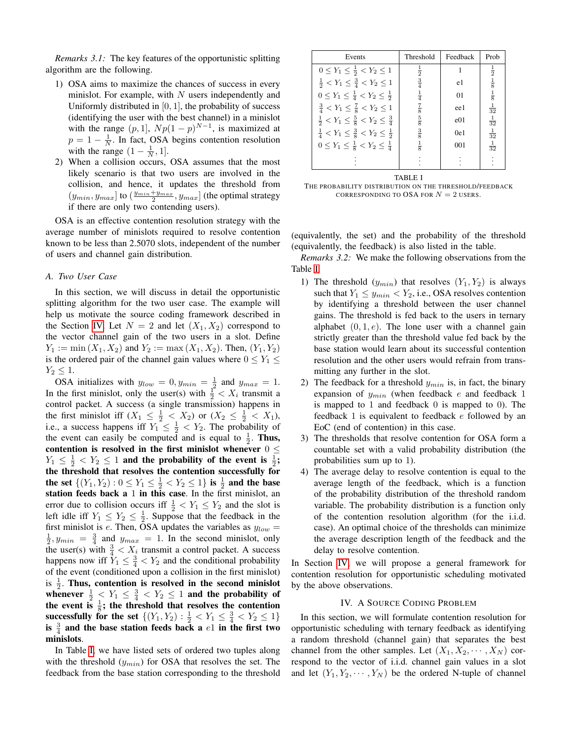*Remarks 3.1:* The key features of the opportunistic splitting algorithm are the following.

- 1) OSA aims to maximize the chances of success in every minislot. For example, with  $N$  users independently and Uniformly distributed in  $[0, 1]$ , the probability of success (identifying the user with the best channel) in a minislot with the range  $(p, 1]$ ,  $Np(1-p)^{N-1}$ , is maximized at  $p = 1 - \frac{1}{N}$ . In fact, OSA begins contention resolution with the range  $(1 - \frac{1}{N}, 1]$ .
- 2) When a collision occurs, OSA assumes that the most likely scenario is that two users are involved in the collision, and hence, it updates the threshold from  $(y_{min}, y_{max}]$  to  $(\frac{y_{min} + y_{max}}{2}, y_{max}]$  (the optimal strategy if there are only two contending users).

OSA is an effective contention resolution strategy with the average number of minislots required to resolve contention known to be less than 2.5070 slots, independent of the number of users and channel gain distribution.

## *A. Two User Case*

In this section, we will discuss in detail the opportunistic splitting algorithm for the two user case. The example will help us motivate the source coding framework described in the Section [IV.](#page-3-0) Let  $N = 2$  and let  $(X_1, X_2)$  correspond to the vector channel gain of the two users in a slot. Define  $Y_1 := \min(X_1, X_2)$  and  $Y_2 := \max(X_1, X_2)$ . Then,  $(Y_1, Y_2)$ is the ordered pair of the channel gain values where  $0 \le Y_1 \le$  $Y_2 \leq 1$ .

OSA initializes with  $y_{low} = 0, y_{min} = \frac{1}{2}$  and  $y_{max} = 1$ . In the first minislot, only the user(s) with  $\frac{1}{2} < X_i$  transmit a control packet. A success (a single transmission) happens in the first minislot iff  $(X_1 \leq \frac{1}{2} < X_2)$  or  $(X_2 \leq \frac{1}{2} < X_1)$ , i.e., a success happens iff  $Y_1 \leq \frac{1}{2} < Y_2$ . The probability of the event can easily be computed and is equal to  $\frac{1}{2}$ . Thus, contention is resolved in the first minislot whenever  $0 \leq$  $Y_1 \leq \frac{1}{2} < Y_2 \leq 1$  and the probability of the event is  $\frac{1}{2}$ ; the threshold that resolves the contention successfully for the set  $\{(Y_1, Y_2) : 0 \le Y_1 \le \frac{1}{2} < Y_2 \le 1\}$  is  $\frac{1}{2}$  and the base station feeds back a 1 in this case. In the first minislot, an error due to collision occurs iff  $\frac{1}{2} < Y_1 \leq Y_2$  and the slot is left idle iff  $Y_1 \leq Y_2 \leq \frac{1}{2}$ . Suppose that the feedback in the first minislot is e. Then, OSA updates the variables as  $y_{low} =$  $\frac{1}{2}$ ,  $y_{min} = \frac{3}{4}$  and  $y_{max} = 1$ . In the second minislot, only the user(s) with  $\frac{3}{4} < X_i$  transmit a control packet. A success happens now iff  $Y_1 \n\t\leq \frac{3}{4} \n\t\leq Y_2$  and the conditional probability of the event (conditioned upon a collision in the first minislot) is  $\frac{1}{2}$ . Thus, contention is resolved in the second minislot whenever  $\frac{1}{2} < Y_1 \leq \frac{3}{4} < Y_2 \leq 1$  and the probability of the event is  $\frac{1}{8}$ ; the threshold that resolves the contention successfully for the set  $\{(Y_1, Y_2) : \frac{1}{2} < Y_1 \leq \frac{3}{4} < Y_2 \leq 1\}$ is  $\frac{3}{4}$  and the base station feeds back a  $e1$  in the first two minislots.

In Table [I,](#page-3-1) we have listed sets of ordered two tuples along with the threshold  $(y_{min})$  for OSA that resolves the set. The feedback from the base station corresponding to the threshold

| Events                                                                      | Threshold     | Feedback | Prob           |
|-----------------------------------------------------------------------------|---------------|----------|----------------|
| $0 \le Y_1 \le \frac{1}{2} < Y_2 \le 1$                                     | $\frac{1}{2}$ |          | $\frac{1}{2}$  |
| $\frac{1}{2}$ < Y <sub>1</sub> $\leq \frac{3}{4}$ < Y <sub>2</sub> $\leq$ 1 | $\frac{3}{4}$ | e1       | $\frac{1}{8}$  |
| $0 \le Y_1 \le \frac{1}{4} < Y_2 \le \frac{1}{2}$                           | $\frac{1}{4}$ | 01       | $\frac{1}{8}$  |
| $\frac{3}{4} < Y_1 \leq \frac{7}{8} < Y_2 \leq 1$                           | $\frac{7}{8}$ | ee1      | $\frac{1}{32}$ |
| $\frac{1}{2} < Y_1 \leq \frac{5}{8} < Y_2 \leq \frac{3}{4}$                 | $\frac{5}{8}$ | e01      | $\frac{1}{32}$ |
| $\frac{1}{4} < Y_1 \leq \frac{3}{8} < Y_2 \leq \frac{1}{2}$                 | $\frac{3}{8}$ | 0e1      | $\frac{1}{32}$ |
| $0 \le Y_1 \le \frac{1}{8} < Y_2 \le \frac{1}{4}$                           | $\frac{1}{8}$ | 001      | $\frac{1}{32}$ |
|                                                                             |               |          |                |

## TABLE I

<span id="page-3-1"></span>THE PROBABILITY DISTRIBUTION ON THE THRESHOLD/FEEDBACK CORRESPONDING TO OSA FOR  $N = 2$  USERS.

(equivalently, the set) and the probability of the threshold (equivalently, the feedback) is also listed in the table.

<span id="page-3-2"></span>*Remarks 3.2:* We make the following observations from the Table [I.](#page-3-1)

- 1) The threshold  $(y_{min})$  that resolves  $(Y_1, Y_2)$  is always such that  $Y_1 \leq y_{min} < Y_2$ , i.e., OSA resolves contention by identifying a threshold between the user channel gains. The threshold is fed back to the users in ternary alphabet  $(0, 1, e)$ . The lone user with a channel gain strictly greater than the threshold value fed back by the base station would learn about its successful contention resolution and the other users would refrain from transmitting any further in the slot.
- 2) The feedback for a threshold  $y_{min}$  is, in fact, the binary expansion of  $y_{min}$  (when feedback e and feedback 1 is mapped to 1 and feedback 0 is mapped to 0). The feedback  $1$  is equivalent to feedback  $e$  followed by an EoC (end of contention) in this case.
- 3) The thresholds that resolve contention for OSA form a countable set with a valid probability distribution (the probabilities sum up to 1).
- 4) The average delay to resolve contention is equal to the average length of the feedback, which is a function of the probability distribution of the threshold random variable. The probability distribution is a function only of the contention resolution algorithm (for the i.i.d. case). An optimal choice of the thresholds can minimize the average description length of the feedback and the delay to resolve contention.

In Section [IV,](#page-3-0) we will propose a general framework for contention resolution for opportunistic scheduling motivated by the above observations.

## IV. A SOURCE CODING PROBLEM

<span id="page-3-0"></span>In this section, we will formulate contention resolution for opportunistic scheduling with ternary feedback as identifying a random threshold (channel gain) that separates the best channel from the other samples. Let  $(X_1, X_2, \dots, X_N)$  correspond to the vector of i.i.d. channel gain values in a slot and let  $(Y_1, Y_2, \dots, Y_N)$  be the ordered N-tuple of channel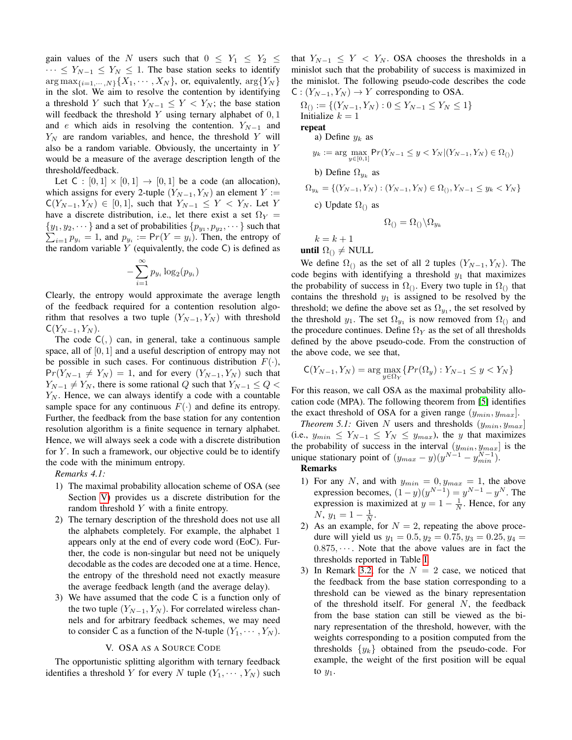gain values of the N users such that  $0 \le Y_1 \le Y_2 \le$  $\cdots \leq Y_{N-1} \leq Y_N \leq 1$ . The base station seeks to identify  $\arg \max_{\{i=1,\dots,N\}} \{X_1,\dots,X_N\}$ , or, equivalently,  $\arg \{Y_N\}$ in the slot. We aim to resolve the contention by identifying a threshold Y such that  $Y_{N-1} \leq Y < Y_N$ ; the base station will feedback the threshold Y using ternary alphabet of  $0, 1$ and e which aids in resolving the contention.  $Y_{N-1}$  and  $Y_N$  are random variables, and hence, the threshold Y will also be a random variable. Obviously, the uncertainty in Y would be a measure of the average description length of the threshold/feedback.

Let  $C : [0,1] \times [0,1] \rightarrow [0,1]$  be a code (an allocation), which assigns for every 2-tuple  $(Y_{N-1}, Y_N)$  an element  $Y :=$  $C(Y_{N-1}, Y_N) \in [0, 1]$ , such that  $Y_{N-1} \leq Y < Y_N$ . Let Y have a discrete distribution, i.e., let there exist a set  $\Omega_Y =$  $\{y_1, y_2, \dots\}$  and a set of probabilities  $\{p_{y_1}, p_{y_2}, \dots\}$  such that  $\sum_{i=1}^n p_{y_i} = 1$ , and  $p_{y_i} := Pr(Y = y_i)$ . Then, the entropy of  $i=1$   $p_{y_i} = 1$ , and  $p_{y_i} := Pr(Y = y_i)$ . Then, the entropy of the random variable  $Y$  (equivalently, the code  $C$ ) is defined as

$$
-\sum_{i=1}^{\infty} p_{y_i} \log_2(p_{y_i})
$$

Clearly, the entropy would approximate the average length of the feedback required for a contention resolution algorithm that resolves a two tuple  $(Y_{N-1}, Y_N)$  with threshold  $C(Y_{N-1}, Y_N)$ .

The code  $C($ ,  $)$  can, in general, take a continuous sample space, all of [0, 1] and a useful description of entropy may not be possible in such cases. For continuous distribution  $F(\cdot)$ ,  $Pr(Y_{N-1} \neq Y_N) = 1$ , and for every  $(Y_{N-1}, Y_N)$  such that  $Y_{N-1} \neq Y_N$ , there is some rational Q such that  $Y_{N-1} \leq Q$  $Y_N$ . Hence, we can always identify a code with a countable sample space for any continuous  $F(\cdot)$  and define its entropy. Further, the feedback from the base station for any contention resolution algorithm is a finite sequence in ternary alphabet. Hence, we will always seek a code with a discrete distribution for  $Y$ . In such a framework, our objective could be to identify the code with the minimum entropy.

*Remarks 4.1:*

- 1) The maximal probability allocation scheme of OSA (see Section [V\)](#page-4-0) provides us a discrete distribution for the random threshold  $Y$  with a finite entropy.
- 2) The ternary description of the threshold does not use all the alphabets completely. For example, the alphabet 1 appears only at the end of every code word (EoC). Further, the code is non-singular but need not be uniquely decodable as the codes are decoded one at a time. Hence, the entropy of the threshold need not exactly measure the average feedback length (and the average delay).
- 3) We have assumed that the code C is a function only of the two tuple  $(Y_{N-1}, Y_N)$ . For correlated wireless channels and for arbitrary feedback schemes, we may need to consider C as a function of the N-tuple  $(Y_1, \dots, Y_N)$ .

## V. OSA AS A SOURCE CODE

<span id="page-4-0"></span>The opportunistic splitting algorithm with ternary feedback identifies a threshold Y for every N tuple  $(Y_1, \dots, Y_N)$  such that  $Y_{N-1} \leq Y < Y_N$ . OSA chooses the thresholds in a minislot such that the probability of success is maximized in the minislot. The following pseudo-code describes the code  $C: (Y_{N-1}, Y_N) \to Y$  corresponding to OSA.

$$
\Omega_{()} := \{ (Y_{N-1}, Y_N) : 0 \le Y_{N-1} \le Y_N \le 1 \}
$$
  
Initialize  $k = 1$ 

repeat

a) Define  $y_k$  as  $y_k := \arg \max_{y \in [0,1]} Pr(Y_{N-1} \leq y < Y_N | (Y_{N-1}, Y_N) \in \Omega_0)$ b) Define  $\Omega_{y_k}$  as  $\Omega_{y_k} = \{(Y_{N-1}, Y_N) : (Y_{N-1}, Y_N) \in \Omega_0, Y_{N-1} \leq y_k < Y_N\}$ c) Update  $\Omega_{()}$  as  $\Omega_{\odot} = \Omega_{\odot} \backslash \Omega_{u_k}$ 

 $k = k + 1$ until  $\Omega$ <sub>()</sub>  $\neq$  NULL

We define  $\Omega_{()}$  as the set of all 2 tuples  $(Y_{N-1}, Y_N)$ . The code begins with identifying a threshold  $y_1$  that maximizes the probability of success in  $\Omega_{()}$ . Every two tuple in  $\Omega_{()}$  that contains the threshold  $y_1$  is assigned to be resolved by the threshold; we define the above set as  $\Omega_{y_1}$ , the set resolved by the threshold  $y_1$ . The set  $\Omega_{y_1}$  is now removed from  $\Omega_{()}$  and the procedure continues. Define  $\Omega_Y$  as the set of all thresholds defined by the above pseudo-code. From the construction of the above code, we see that,

$$
\mathsf{C}(Y_{N-1}, Y_N) = \arg\max_{y \in \Omega_Y} \{ \Pr(\Omega_y) : Y_{N-1} \le y < Y_N \}
$$

For this reason, we call OSA as the maximal probability allocation code (MPA). The following theorem from [\[5\]](#page-6-8) identifies the exact threshold of OSA for a given range  $(y_{min}, y_{max})$ .

*Theorem 5.1:* Given N users and thresholds  $(y_{min}, y_{max}]$ (i.e.,  $y_{min} \leq Y_{N-1} \leq Y_N \leq y_{max}$ ), the y that maximizes the probability of success in the interval  $(y_{min}, y_{max}]$  is the unique stationary point of  $(y_{max} - y)(y^{N-1} - y_{min}^{N-1}).$ 

- Remarks
- 1) For any N, and with  $y_{min} = 0, y_{max} = 1$ , the above expression becomes,  $(1-y)(y^{N-1}) = y^{N-1} - y^N$ . The expression is maximized at  $y = 1 - \frac{1}{N}$ . Hence, for any  $N, y_1 = 1 - \frac{1}{N}.$
- 2) As an example, for  $N = 2$ , repeating the above procedure will yield us  $y_1 = 0.5, y_2 = 0.75, y_3 = 0.25, y_4 = 0.4$  $0.875, \dots$ . Note that the above values are in fact the thresholds reported in Table [I.](#page-3-1)
- 3) In Remark [3.2,](#page-3-2) for the  $N = 2$  case, we noticed that the feedback from the base station corresponding to a threshold can be viewed as the binary representation of the threshold itself. For general N, the feedback from the base station can still be viewed as the binary representation of the threshold, however, with the weights corresponding to a position computed from the thresholds  $\{y_k\}$  obtained from the pseudo-code. For example, the weight of the first position will be equal to  $y_1$ .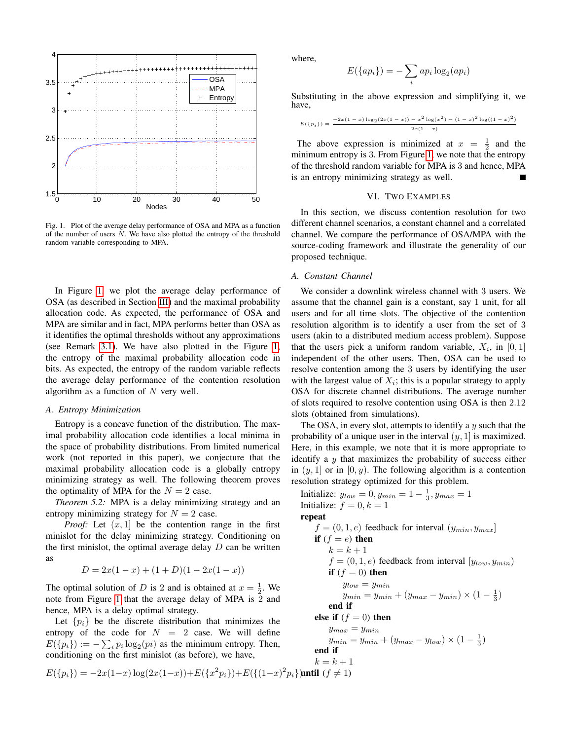

<span id="page-5-1"></span>Fig. 1. Plot of the average delay performance of OSA and MPA as a function of the number of users  $N$ . We have also plotted the entropy of the threshold random variable corresponding to MPA.

In Figure [1,](#page-5-1) we plot the average delay performance of OSA (as described in Section [III\)](#page-2-0) and the maximal probability allocation code. As expected, the performance of OSA and MPA are similar and in fact, MPA performs better than OSA as it identifies the optimal thresholds without any approximations (see Remark [3.1\)](#page-2-2). We have also plotted in the Figure [1,](#page-5-1) the entropy of the maximal probability allocation code in bits. As expected, the entropy of the random variable reflects the average delay performance of the contention resolution algorithm as a function of  $N$  very well.

## *A. Entropy Minimization*

Entropy is a concave function of the distribution. The maximal probability allocation code identifies a local minima in the space of probability distributions. From limited numerical work (not reported in this paper), we conjecture that the maximal probability allocation code is a globally entropy minimizing strategy as well. The following theorem proves the optimality of MPA for the  $N = 2$  case.

*Theorem 5.2:* MPA is a delay minimizing strategy and an entropy minimizing strategy for  $N = 2$  case.

*Proof:* Let  $(x, 1)$  be the contention range in the first minislot for the delay minimizing strategy. Conditioning on the first minislot, the optimal average delay  $D$  can be written as

$$
D = 2x(1 - x) + (1 + D)(1 - 2x(1 - x))
$$

The optimal solution of D is 2 and is obtained at  $x = \frac{1}{2}$ . We note from Figure [1](#page-5-1) that the average delay of MPA is 2 and hence, MPA is a delay optimal strategy.

Let  $\{p_i\}$  be the discrete distribution that minimizes the entropy of the code for  $N = 2$  case. We will define  $E({p_i}) := -\sum_i p_i \log_2(p_i)$  as the minimum entropy. Then, conditioning on the first minislot (as before), we have,

$$
E({p_i}) = -2x(1-x)\log(2x(1-x)) + E({x^2p_i}) + E({(1-x)^2p_i})
$$
 until  $(f \neq 0)$ 

where,

$$
E({api}) = -\sum_{i} ap_i \log_2(ap_i)
$$

Substituting in the above expression and simplifying it, we have,

$$
E(\{p_i\}) = \frac{-2x(1-x)\log_2(2x(1-x))-x^2\log(x^2)-(1-x)^2\log((1-x)^2)}{2x(1-x)}
$$

The above expression is minimized at  $x = \frac{1}{2}$  and the minimum entropy is 3. From Figure [1,](#page-5-1) we note that the entropy of the threshold random variable for MPA is 3 and hence, MPA is an entropy minimizing strategy as well.

## VI. TWO EXAMPLES

<span id="page-5-0"></span>In this section, we discuss contention resolution for two different channel scenarios, a constant channel and a correlated channel. We compare the performance of OSA/MPA with the source-coding framework and illustrate the generality of our proposed technique.

## *A. Constant Channel*

We consider a downlink wireless channel with 3 users. We assume that the channel gain is a constant, say 1 unit, for all users and for all time slots. The objective of the contention resolution algorithm is to identify a user from the set of 3 users (akin to a distributed medium access problem). Suppose that the users pick a uniform random variable,  $X_i$ , in  $[0, 1]$ independent of the other users. Then, OSA can be used to resolve contention among the 3 users by identifying the user with the largest value of  $X_i$ ; this is a popular strategy to apply OSA for discrete channel distributions. The average number of slots required to resolve contention using OSA is then 2.12 slots (obtained from simulations).

The OSA, in every slot, attempts to identify a  $y$  such that the probability of a unique user in the interval  $(y, 1)$  is maximized. Here, in this example, we note that it is more appropriate to identify a  $y$  that maximizes the probability of success either in  $(y, 1]$  or in  $[0, y)$ . The following algorithm is a contention resolution strategy optimized for this problem.

Initialize:  $y_{low} = 0, y_{min} = 1 - \frac{1}{3}, y_{max} = 1$ Initialize:  $f = 0, k = 1$ repeat  $f = (0, 1, e)$  feedback for interval  $(y_{min}, y_{max})$ if  $(f = e)$  then  $k = k + 1$  $f = (0, 1, e)$  feedback from interval  $[y_{low}, y_{min})$ if  $(f = 0)$  then  $y_{low} = y_{min}$  $y_{min} = y_{min} + (y_{max} - y_{min}) \times (1 - \frac{1}{3})$ end if else if  $(f = 0)$  then  $y_{max} = y_{min}$  $y_{min} = y_{min} + (y_{max} - y_{low}) \times (1 - \frac{1}{3})$ end if  $k = k + 1$  $\left( \frac{1}{2} \right)$